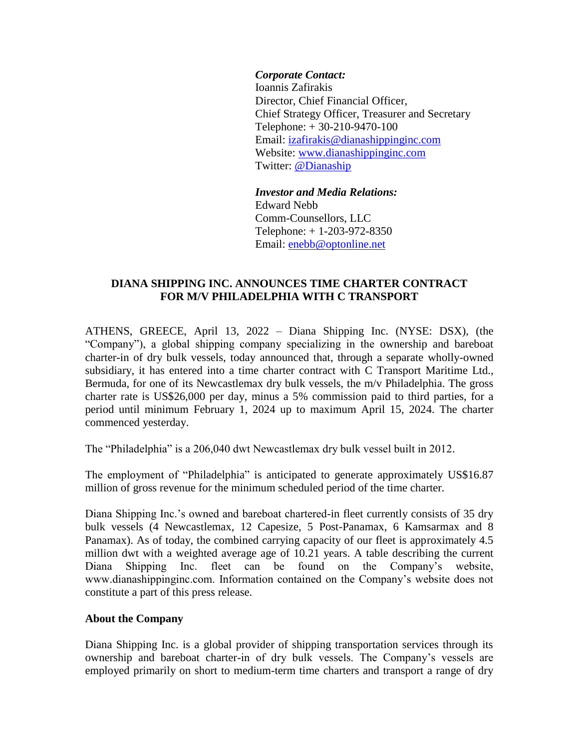*Corporate Contact:* Ioannis Zafirakis Director, Chief Financial Officer, Chief Strategy Officer, Treasurer and Secretary Telephone: + 30-210-9470-100 Email: izafirakis@dianashippinginc.com Website: [www.dianashippinginc.com](http://www.dianashippinginc.com/) Twitter: [@Dianaship](https://twitter.com/Dianaship)

*Investor and Media Relations:* Edward Nebb Comm-Counsellors, LLC Telephone: + 1-203-972-8350 Email: enebb@optonline.net

## **DIANA SHIPPING INC. ANNOUNCES TIME CHARTER CONTRACT FOR M/V PHILADELPHIA WITH C TRANSPORT**

ATHENS, GREECE, April 13, 2022 – Diana Shipping Inc. (NYSE: DSX), (the "Company"), a global shipping company specializing in the ownership and bareboat charter-in of dry bulk vessels, today announced that, through a separate wholly-owned subsidiary, it has entered into a time charter contract with C Transport Maritime Ltd., Bermuda, for one of its Newcastlemax dry bulk vessels, the m/v Philadelphia. The gross charter rate is US\$26,000 per day, minus a 5% commission paid to third parties, for a period until minimum February 1, 2024 up to maximum April 15, 2024. The charter commenced yesterday.

The "Philadelphia" is a 206,040 dwt Newcastlemax dry bulk vessel built in 2012.

The employment of "Philadelphia" is anticipated to generate approximately US\$16.87 million of gross revenue for the minimum scheduled period of the time charter.

Diana Shipping Inc.'s owned and bareboat chartered-in fleet currently consists of 35 dry bulk vessels (4 Newcastlemax, 12 Capesize, 5 Post-Panamax, 6 Kamsarmax and 8 Panamax). As of today, the combined carrying capacity of our fleet is approximately 4.5 million dwt with a weighted average age of 10.21 years. A table describing the current Diana Shipping Inc. fleet can be found on the Company's website, www.dianashippinginc.com. Information contained on the Company's website does not constitute a part of this press release.

## **About the Company**

Diana Shipping Inc. is a global provider of shipping transportation services through its ownership and bareboat charter-in of dry bulk vessels. The Company's vessels are employed primarily on short to medium-term time charters and transport a range of dry